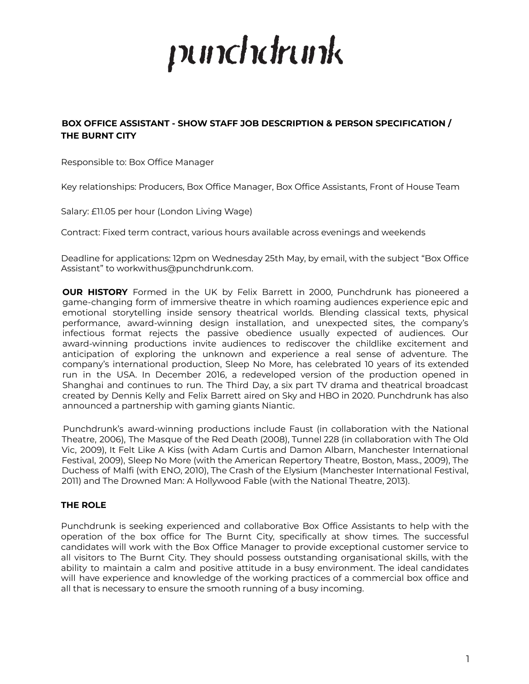# punchdrunk

# **BOX OFFICE ASSISTANT - SHOW STAFF JOB DESCRIPTION & PERSON SPECIFICATION / THE BURNT CITY**

Responsible to: Box Office Manager

Key relationships: Producers, Box Office Manager, Box Office Assistants, Front of House Team

Salary: £11.05 per hour (London Living Wage)

Contract: Fixed term contract, various hours available across evenings and weekends

Deadline for applications: 12pm on Wednesday 25th May, by email, with the subject "Box Office Assistant" to workwithus@punchdrunk.com.

**OUR HISTORY** Formed in the UK by Felix Barrett in 2000, Punchdrunk has pioneered a game-changing form of immersive theatre in which roaming audiences experience epic and emotional storytelling inside sensory theatrical worlds. Blending classical texts, physical performance, award-winning design installation, and unexpected sites, the company's infectious format rejects the passive obedience usually expected of audiences. Our award-winning productions invite audiences to rediscover the childlike excitement and anticipation of exploring the unknown and experience a real sense of adventure. The company's international production, Sleep No More, has celebrated 10 years of its extended run in the USA. In December 2016, a redeveloped version of the production opened in Shanghai and continues to run. The Third Day, a six part TV drama and theatrical broadcast created by Dennis Kelly and Felix Barrett aired on Sky and HBO in 2020. Punchdrunk has also announced a partnership with gaming giants Niantic.

Punchdrunk's award-winning productions include Faust (in collaboration with the National Theatre, 2006), The Masque of the Red Death (2008), Tunnel 228 (in collaboration with The Old Vic, 2009), It Felt Like A Kiss (with Adam Curtis and Damon Albarn, Manchester International Festival, 2009), Sleep No More (with the American Repertory Theatre, Boston, Mass., 2009), The Duchess of Malfi (with ENO, 2010), The Crash of the Elysium (Manchester International Festival, 2011) and The Drowned Man: A Hollywood Fable (with the National Theatre, 2013).

# **THE ROLE**

Punchdrunk is seeking experienced and collaborative Box Office Assistants to help with the operation of the box office for The Burnt City, specifically at show times. The successful candidates will work with the Box Office Manager to provide exceptional customer service to all visitors to The Burnt City. They should possess outstanding organisational skills, with the ability to maintain a calm and positive attitude in a busy environment. The ideal candidates will have experience and knowledge of the working practices of a commercial box office and all that is necessary to ensure the smooth running of a busy incoming.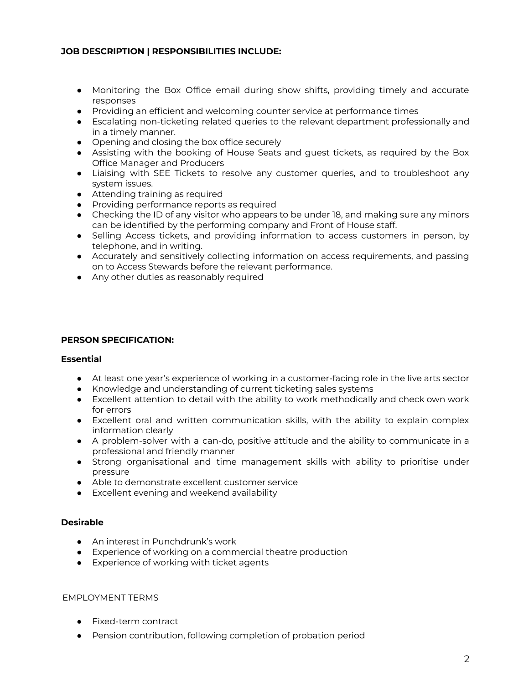# **JOB DESCRIPTION | RESPONSIBILITIES INCLUDE:**

- Monitoring the Box Office email during show shifts, providing timely and accurate responses
- Providing an efficient and welcoming counter service at performance times
- Escalating non-ticketing related queries to the relevant department professionally and in a timely manner.
- Opening and closing the box office securely
- Assisting with the booking of House Seats and guest tickets, as required by the Box Office Manager and Producers
- Liaising with SEE Tickets to resolve any customer queries, and to troubleshoot any system issues.
- Attending training as required
- Providing performance reports as required
- Checking the ID of any visitor who appears to be under 18, and making sure any minors can be identified by the performing company and Front of House staff.
- Selling Access tickets, and providing information to access customers in person, by telephone, and in writing.
- Accurately and sensitively collecting information on access requirements, and passing on to Access Stewards before the relevant performance.
- Any other duties as reasonably required

#### **PERSON SPECIFICATION:**

## **Essential**

- At least one year's experience of working in a customer-facing role in the live arts sector
- Knowledge and understanding of current ticketing sales systems
- Excellent attention to detail with the ability to work methodically and check own work for errors
- Excellent oral and written communication skills, with the ability to explain complex information clearly
- A problem-solver with a can-do, positive attitude and the ability to communicate in a professional and friendly manner
- Strong organisational and time management skills with ability to prioritise under pressure
- Able to demonstrate excellent customer service
- Excellent evening and weekend availability

## **Desirable**

- An interest in Punchdrunk's work
- Experience of working on a commercial theatre production
- Experience of working with ticket agents

## EMPLOYMENT TERMS

- Fixed-term contract
- Pension contribution, following completion of probation period